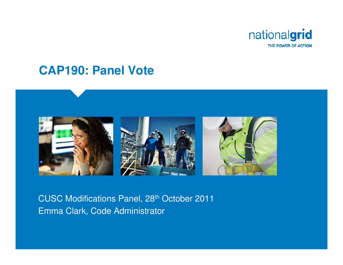

#### **CAP190: Panel Vote**



#### CUSC Modifications Panel, 28th October 2011Emma Clark, Code Administrator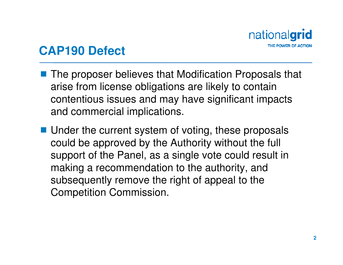

#### **CAP190 Defect**

- The proposer believes that Modification Proposals that arise from license obligations are likely to contain contentious issues and may have significant impacts and commercial implications.
- Under the current system of voting, these proposals<br>equid be approved by the Authority without the full could be approved by the Authority without the full support of the Panel, as a single vote could result in making a recommendation to the authority, and subsequently remove the right of appeal to the Competition Commission.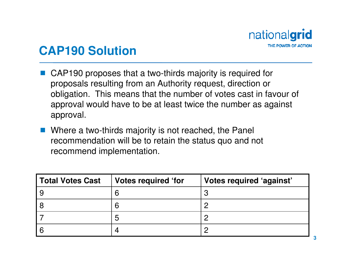

#### **CAP190 Solution**

- **Service Service**  CAP190 proposes that a two-thirds majority is required for proposals resulting from an Authority request, direction or obligation. This means that the number of votes cast in favour of approval would have to be at least twice the number as against approval.
- Where a two-thirds majority is not reached, the Panel<br>reasonmendation will be to retain the status que and n recommendation will be to retain the status quo and not recommend implementation.

| Total Votes Cast | Votes required 'for | Votes required 'against' |
|------------------|---------------------|--------------------------|
| 9                |                     |                          |
| 8                |                     |                          |
|                  | 5                   |                          |
| ∣ 6              |                     |                          |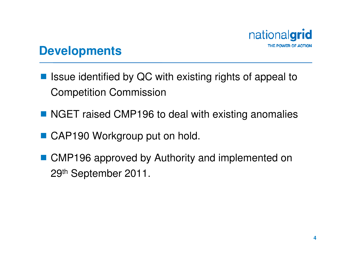

#### **Developments**

- Issue identified by QC with existing rights of appeal to Competition Commission
- NGET raised CMP196 to deal with existing anomalies
- CAP190 Workgroup put on hold.
- CMP196 approved by Authority and implemented on 29<sup>th</sup> September 2011.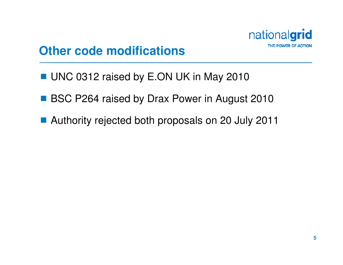

#### **Other code modifications**

- UNC 0312 raised by E.ON UK in May 2010
- BSC P264 raised by Drax Power in August 2010
- Authority rejected both proposals on 20 July 2011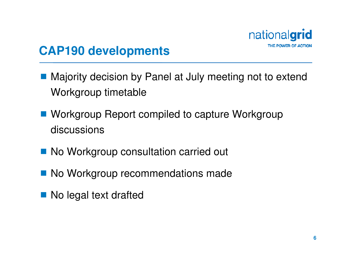

## **CAP190 developments**

- **Majority decision by Panel at July meeting not to extend at July meeting not to extend** Workgroup timetable
- Workgroup Report compiled to capture Workgroup discussions
- No Workgroup consultation carried out
- No Workgroup recommendations made
- No legal text drafted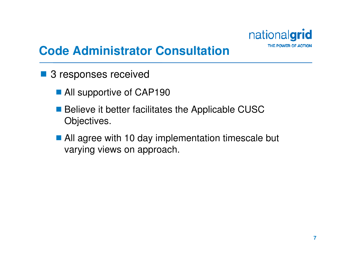

# **Code Administrator Consultation**

- 3 responses received
	- All supportive of CAP190
	- Believe it better facilitates the Applicable CUSC Objectives.
	- All agree with 10 day implementation timescale but varying views on approach.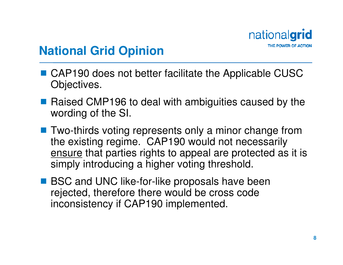

### **National Grid Opinion**

- CAP190 does not better facilitate the Applicable CUSC<br>Chiectives Objectives.
- Raised CMP196 to deal with ambiguities caused by the wording of the SI wording of the SI.
- **Two-thirds voting represents only a minor change from**<br>the existing regime CAP190 would not necessarily the existing regime. CAP190 would not necessarily ensure that parties rights to appeal are protected as it is simply introducing a higher voting threshold.
- **BSC and UNC like-for-like proposals have been**<br>rejected therefore there would be cross code rejected, therefore there would be cross code inconsistency if CAP190 implemented.